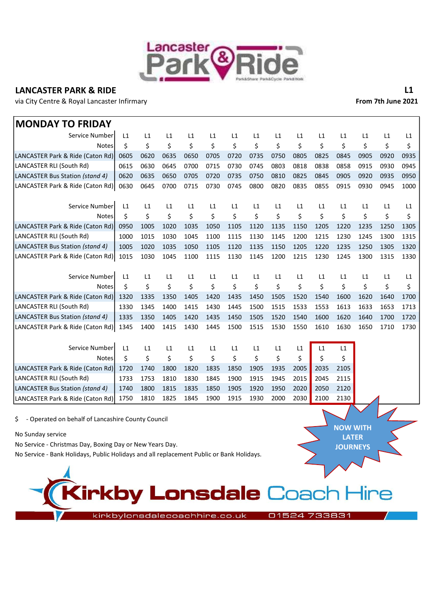

## LANCASTER PARK & RIDE LANCASTER PARK & RIDE

via City Centre & Royal Lancaster Infirmary **From 7th June 2021** 

NOW WITH LATER **JOURNEYS** 

| <b>MONDAY TO FRIDAY</b>          |      |      |      |      |      |      |      |      |      |      |      |      |      |      |
|----------------------------------|------|------|------|------|------|------|------|------|------|------|------|------|------|------|
| Service Number                   | L1   | L1   | L1   | L1   | L1   | L1   | L1   | L1   | L1   | L1   | L1   | L1   | L1   | L1   |
| <b>Notes</b>                     | \$   | \$   | \$   | \$   | \$   | \$   | \$   | \$   | \$   | \$   | \$   | \$   | \$   | \$   |
| LANCASTER Park & Ride (Caton Rd) | 0605 | 0620 | 0635 | 0650 | 0705 | 0720 | 0735 | 0750 | 0805 | 0825 | 0845 | 0905 | 0920 | 0935 |
| LANCASTER RLI (South Rd)         | 0615 | 0630 | 0645 | 0700 | 0715 | 0730 | 0745 | 0803 | 0818 | 0838 | 0858 | 0915 | 0930 | 0945 |
| LANCASTER Bus Station (stand 4)  | 0620 | 0635 | 0650 | 0705 | 0720 | 0735 | 0750 | 0810 | 0825 | 0845 | 0905 | 0920 | 0935 | 0950 |
| LANCASTER Park & Ride (Caton Rd) | 0630 | 0645 | 0700 | 0715 | 0730 | 0745 | 0800 | 0820 | 0835 | 0855 | 0915 | 0930 | 0945 | 1000 |
| Service Number                   | L1   | L1   | L1   | L1   | L1   | L1   | L1   | L1   | L1   | L1   | L1   | L1   | L1   | L1   |
| <b>Notes</b>                     | \$   | \$   | \$   | \$   | \$   | \$   | \$   | \$   | \$   | \$   | \$   | \$   | \$   | \$   |
| LANCASTER Park & Ride (Caton Rd) | 0950 | 1005 | 1020 | 1035 | 1050 | 1105 | 1120 | 1135 | 1150 | 1205 | 1220 | 1235 | 1250 | 1305 |
| LANCASTER RLI (South Rd)         | 1000 | 1015 | 1030 | 1045 | 1100 | 1115 | 1130 | 1145 | 1200 | 1215 | 1230 | 1245 | 1300 | 1315 |
| LANCASTER Bus Station (stand 4)  | 1005 | 1020 | 1035 | 1050 | 1105 | 1120 | 1135 | 1150 | 1205 | 1220 | 1235 | 1250 | 1305 | 1320 |
| LANCASTER Park & Ride (Caton Rd) | 1015 | 1030 | 1045 | 1100 | 1115 | 1130 | 1145 | 1200 | 1215 | 1230 | 1245 | 1300 | 1315 | 1330 |
| Service Number                   | L1   | L1   | L1   | L1   | L1   | L1   | L1   | L1   | L1   | L1   | L1   | L1   | L1   | L1   |
| <b>Notes</b>                     | \$   | \$   | \$   | \$   | \$   | \$   | \$   | \$   | \$   | \$   | \$   | \$   | \$   | \$   |
| LANCASTER Park & Ride (Caton Rd) | 1320 | 1335 | 1350 | 1405 | 1420 | 1435 | 1450 | 1505 | 1520 | 1540 | 1600 | 1620 | 1640 | 1700 |
| LANCASTER RLI (South Rd)         | 1330 | 1345 | 1400 | 1415 | 1430 | 1445 | 1500 | 1515 | 1533 | 1553 | 1613 | 1633 | 1653 | 1713 |
| LANCASTER Bus Station (stand 4)  | 1335 | 1350 | 1405 | 1420 | 1435 | 1450 | 1505 | 1520 | 1540 | 1600 | 1620 | 1640 | 1700 | 1720 |
| LANCASTER Park & Ride (Caton Rd) | 1345 | 1400 | 1415 | 1430 | 1445 | 1500 | 1515 | 1530 | 1550 | 1610 | 1630 | 1650 | 1710 | 1730 |
| Service Number                   | L1   | L1   | L1   | L1   | L1   | L1   | L1   | L1   | L1   | L1   | L1   |      |      |      |
| <b>Notes</b>                     | Ś.   | \$   | \$   | \$   | \$   | \$   | \$   | \$   | \$   | \$   | \$   |      |      |      |
| LANCASTER Park & Ride (Caton Rd) | 1720 | 1740 | 1800 | 1820 | 1835 | 1850 | 1905 | 1935 | 2005 | 2035 | 2105 |      |      |      |
| LANCASTER RLI (South Rd)         | 1733 | 1753 | 1810 | 1830 | 1845 | 1900 | 1915 | 1945 | 2015 | 2045 | 2115 |      |      |      |
| LANCASTER Bus Station (stand 4)  | 1740 | 1800 | 1815 | 1835 | 1850 | 1905 | 1920 | 1950 | 2020 | 2050 | 2120 |      |      |      |
| LANCASTER Park & Ride (Caton Rd) | 1750 | 1810 | 1825 | 1845 | 1900 | 1915 | 1930 | 2000 | 2030 | 2100 | 2130 |      |      |      |

\$ - Operated on behalf of Lancashire County Council

No Sunday service

No Service - Christmas Day, Boxing Day or New Years Day.

No Service - Bank Holidays, Public Holidays and all replacement Public or Bank Holidays.